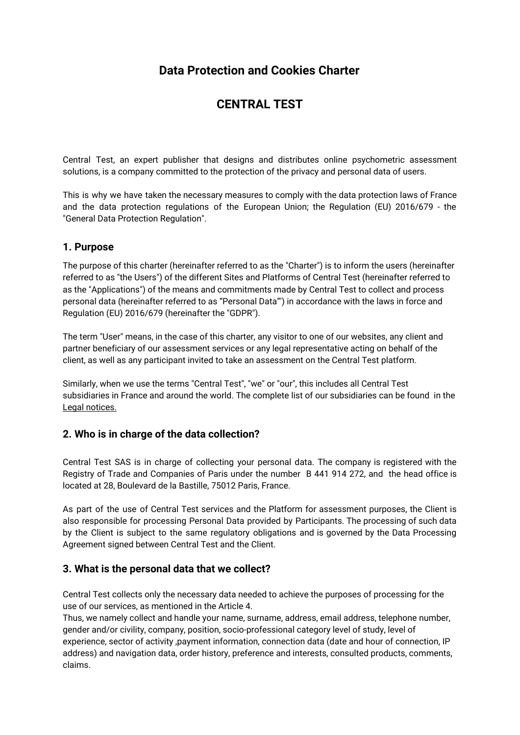# **Data Protection and Cookies Charter**

# **CENTRAL TEST**

Central Test, an expert publisher that designs and distributes online psychometric assessment solutions, is a company committed to the protection of the privacy and personal data of users.

This is why we have taken the necessary measures to comply with the data protection laws of France and the data protection regulations of the European Union; the Regulation (EU) 2016/679 - the "General Data Protection Regulation".

## **1. Purpose**

The purpose of this charter (hereinafter referred to as the "Charter") is to inform the users (hereinafter referred to as "the Users") of the different Sites and Platforms of Central Test (hereinafter referred to as the "Applications") of the means and commitments made by Central Test to collect and process personal data (hereinafter referred to as "Personal Data"') in accordance with the laws in force and Regulation (EU) 2016/679 (hereinafter the "GDPR").

The term "User" means, in the case of this charter, any visitor to one of our websites, any client and partner beneficiary of our assessment services or any legal representative acting on behalf of the client, as well as any participant invited to take an assessment on the Central Test platform.

Similarly, when we use the terms "Central Test", "we" or "our", this includes all Central Test subsidiaries in France and around the world. The complete list of our subsidiaries can be found in the Legal notices.

## **2. Who is in charge of the data collection?**

Central Test SAS is in charge of collecting your personal data. The company is registered with the Registry of Trade and Companies of Paris under the number B 441 914 272, and the head office is located at 28, Boulevard de la Bastille, 75012 Paris, France.

As part of the use of Central Test services and the Platform for assessment purposes, the Client is also responsible for processing Personal Data provided by Participants. The processing of such data by the Client is subject to the same regulatory obligations and is governed by the Data Processing Agreement signed between Central Test and the Client.

## **3. What is the personal data that we collect?**

Central Test collects only the necessary data needed to achieve the purposes of processing for the use of our services, as mentioned in the Article 4.

Thus, we namely collect and handle your name, surname, address, email address, telephone number, gender and/or civility, company, position, socio-professional category level of study, level of experience, sector of activity ,payment information, connection data (date and hour of connection, IP address) and navigation data, order history, preference and interests, consulted products, comments, claims.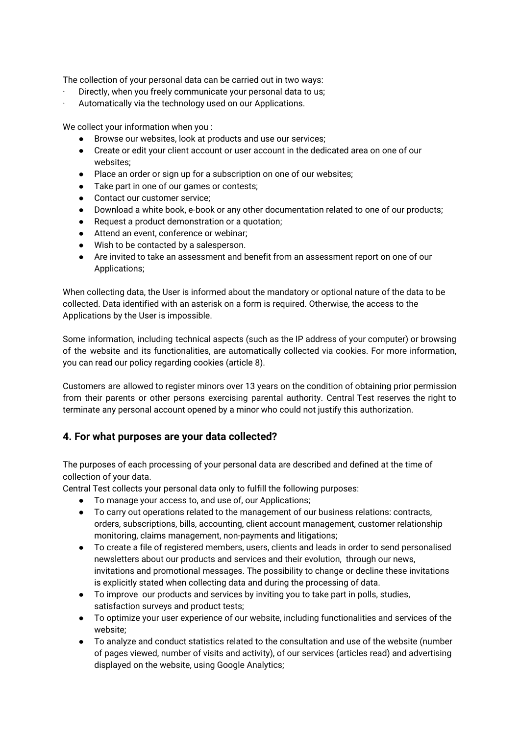The collection of your personal data can be carried out in two ways:

- Directly, when you freely communicate your personal data to us;
- Automatically via the technology used on our Applications.

We collect your information when you :

- Browse our websites, look at products and use our services;
- Create or edit your client account or user account in the dedicated area on one of our websites;
- Place an order or sign up for a subscription on one of our websites;
- Take part in one of our games or contests;
- Contact our customer service;
- Download a white book, e-book or any other documentation related to one of our products;
- Request a product demonstration or a quotation;
- Attend an event, conference or webinar;
- Wish to be contacted by a salesperson.
- Are invited to take an assessment and benefit from an assessment report on one of our Applications;

When collecting data, the User is informed about the mandatory or optional nature of the data to be collected. Data identified with an asterisk on a form is required. Otherwise, the access to the Applications by the User is impossible.

Some information, including technical aspects (such as the IP address of your computer) or browsing of the website and its functionalities, are automatically collected via cookies. For more information, you can read our policy regarding cookies (article 8).

Customers are allowed to register minors over 13 years on the condition of obtaining prior permission from their parents or other persons exercising parental authority. Central Test reserves the right to terminate any personal account opened by a minor who could not justify this authorization.

## **4. For what purposes are your data collected?**

The purposes of each processing of your personal data are described and defined at the time of collection of your data.

Central Test collects your personal data only to fulfill the following purposes:

- To manage your access to, and use of, our Applications;
- To carry out operations related to the management of our business relations: contracts, orders, subscriptions, bills, accounting, client account management, customer relationship monitoring, claims management, non-payments and litigations;
- To create a file of registered members, users, clients and leads in order to send personalised newsletters about our products and services and their evolution, through our news, invitations and promotional messages. The possibility to change or decline these invitations is explicitly stated when collecting data and during the processing of data.
- To improve our products and services by inviting you to take part in polls, studies, satisfaction surveys and product tests;
- To optimize your user experience of our website, including functionalities and services of the website;
- To analyze and conduct statistics related to the consultation and use of the website (number of pages viewed, number of visits and activity), of our services (articles read) and advertising displayed on the website, using Google Analytics;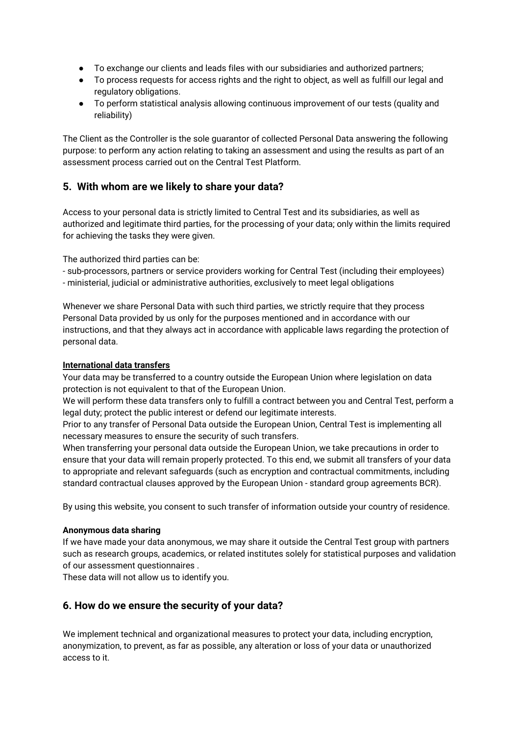- To exchange our clients and leads files with our subsidiaries and authorized partners;
- To process requests for access rights and the right to object, as well as fulfill our legal and regulatory obligations.
- To perform statistical analysis allowing continuous improvement of our tests (quality and reliability)

The Client as the Controller is the sole guarantor of collected Personal Data answering the following purpose: to perform any action relating to taking an assessment and using the results as part of an assessment process carried out on the Central Test Platform.

## **5. With whom are we likely to share your data?**

Access to your personal data is strictly limited to Central Test and its subsidiaries, as well as authorized and legitimate third parties, for the processing of your data; only within the limits required for achieving the tasks they were given.

The authorized third parties can be:

- sub-processors, partners or service providers working for Central Test (including their employees) - ministerial, judicial or administrative authorities, exclusively to meet legal obligations

Whenever we share Personal Data with such third parties, we strictly require that they process Personal Data provided by us only for the purposes mentioned and in accordance with our instructions, and that they always act in accordance with applicable laws regarding the protection of personal data.

#### **International data transfers**

Your data may be transferred to a country outside the European Union where legislation on data protection is not equivalent to that of the European Union.

We will perform these data transfers only to fulfill a contract between you and Central Test, perform a legal duty; protect the public interest or defend our legitimate interests.

Prior to any transfer of Personal Data outside the European Union, Central Test is implementing all necessary measures to ensure the security of such transfers.

When transferring your personal data outside the European Union, we take precautions in order to ensure that your data will remain properly protected. To this end, we submit all transfers of your data to appropriate and relevant safeguards (such as encryption and contractual commitments, including standard contractual clauses approved by the European Union - standard group agreements BCR).

By using this website, you consent to such transfer of information outside your country of residence.

#### **Anonymous data sharing**

If we have made your data anonymous, we may share it outside the Central Test group with partners such as research groups, academics, or related institutes solely for statistical purposes and validation of our assessment questionnaires .

These data will not allow us to identify you.

## **6. How do we ensure the security of your data?**

We implement technical and organizational measures to protect your data, including encryption, anonymization, to prevent, as far as possible, any alteration or loss of your data or unauthorized access to it.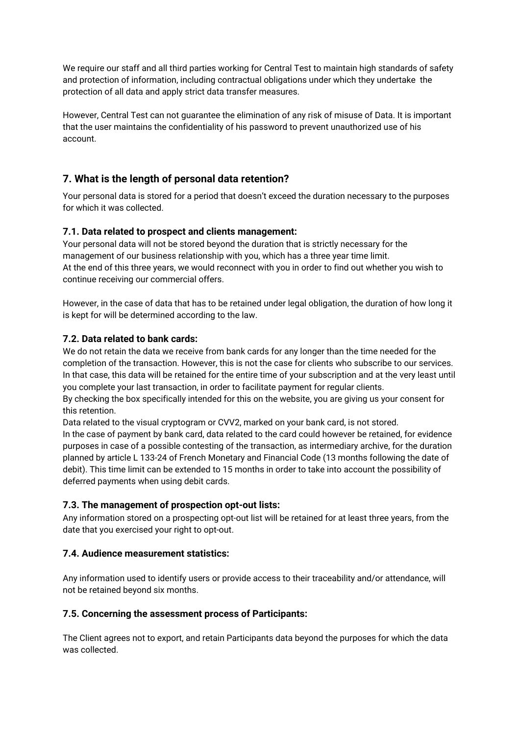We require our staff and all third parties working for Central Test to maintain high standards of safety and protection of information, including contractual obligations under which they undertake the protection of all data and apply strict data transfer measures.

However, Central Test can not guarantee the elimination of any risk of misuse of Data. It is important that the user maintains the confidentiality of his password to prevent unauthorized use of his account.

## **7. What is the length of personal data retention?**

Your personal data is stored for a period that doesn't exceed the duration necessary to the purposes for which it was collected.

#### **7.1. Data related to prospect and clients management:**

Your personal data will not be stored beyond the duration that is strictly necessary for the management of our business relationship with you, which has a three year time limit. At the end of this three years, we would reconnect with you in order to find out whether you wish to continue receiving our commercial offers.

However, in the case of data that has to be retained under legal obligation, the duration of how long it is kept for will be determined according to the law.

#### **7.2. Data related to bank cards:**

We do not retain the data we receive from bank cards for any longer than the time needed for the completion of the transaction. However, this is not the case for clients who subscribe to our services. In that case, this data will be retained for the entire time of your subscription and at the very least until you complete your last transaction, in order to facilitate payment for regular clients.

By checking the box specifically intended for this on the website, you are giving us your consent for this retention.

Data related to the visual cryptogram or CVV2, marked on your bank card, is not stored.

In the case of payment by bank card, data related to the card could however be retained, for evidence purposes in case of a possible contesting of the transaction, as intermediary archive, for the duration planned by article L 133-24 of French Monetary and Financial Code (13 months following the date of debit). This time limit can be extended to 15 months in order to take into account the possibility of deferred payments when using debit cards.

## **7.3. The management of prospection opt-out lists:**

Any information stored on a prospecting opt-out list will be retained for at least three years, from the date that you exercised your right to opt-out.

#### **7.4. Audience measurement statistics:**

Any information used to identify users or provide access to their traceability and/or attendance, will not be retained beyond six months.

#### **7.5. Concerning the assessment process of Participants:**

The Client agrees not to export, and retain Participants data beyond the purposes for which the data was collected.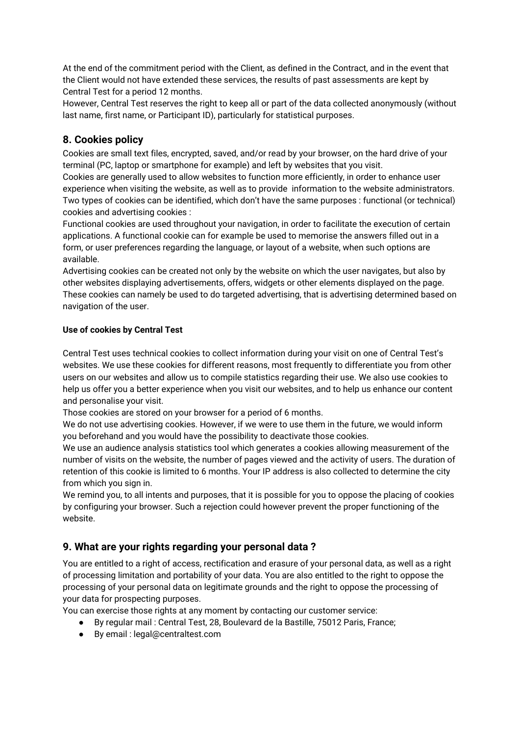At the end of the commitment period with the Client, as defined in the Contract, and in the event that the Client would not have extended these services, the results of past assessments are kept by Central Test for a period 12 months.

However, Central Test reserves the right to keep all or part of the data collected anonymously (without last name, first name, or Participant ID), particularly for statistical purposes.

## **8. Cookies policy**

Cookies are small text files, encrypted, saved, and/or read by your browser, on the hard drive of your terminal (PC, laptop or smartphone for example) and left by websites that you visit.

Cookies are generally used to allow websites to function more efficiently, in order to enhance user experience when visiting the website, as well as to provide information to the website administrators. Two types of cookies can be identified, which don't have the same purposes : functional (or technical) cookies and advertising cookies :

Functional cookies are used throughout your navigation, in order to facilitate the execution of certain applications. A functional cookie can for example be used to memorise the answers filled out in a form, or user preferences regarding the language, or layout of a website, when such options are available.

Advertising cookies can be created not only by the website on which the user navigates, but also by other websites displaying advertisements, offers, widgets or other elements displayed on the page. These cookies can namely be used to do targeted advertising, that is advertising determined based on navigation of the user.

#### **Use of cookies by Central Test**

Central Test uses technical cookies to collect information during your visit on one of Central Test's websites. We use these cookies for different reasons, most frequently to differentiate you from other users on our websites and allow us to compile statistics regarding their use. We also use cookies to help us offer you a better experience when you visit our websites, and to help us enhance our content and personalise your visit.

Those cookies are stored on your browser for a period of 6 months.

We do not use advertising cookies. However, if we were to use them in the future, we would inform you beforehand and you would have the possibility to deactivate those cookies.

We use an audience analysis statistics tool which generates a cookies allowing measurement of the number of visits on the website, the number of pages viewed and the activity of users. The duration of retention of this cookie is limited to 6 months. Your IP address is also collected to determine the city from which you sign in.

We remind you, to all intents and purposes, that it is possible for you to oppose the placing of cookies by configuring your browser. Such a rejection could however prevent the proper functioning of the website.

## **9. What are your rights regarding your personal data ?**

You are entitled to a right of access, rectification and erasure of your personal data, as well as a right of processing limitation and portability of your data. You are also entitled to the right to oppose the processing of your personal data on legitimate grounds and the right to oppose the processing of your data for prospecting purposes.

You can exercise those rights at any moment by contacting our customer service:

- By regular mail : Central Test, 28, Boulevard de la Bastille, 75012 Paris, France;
- By email : legal@centraltest.com